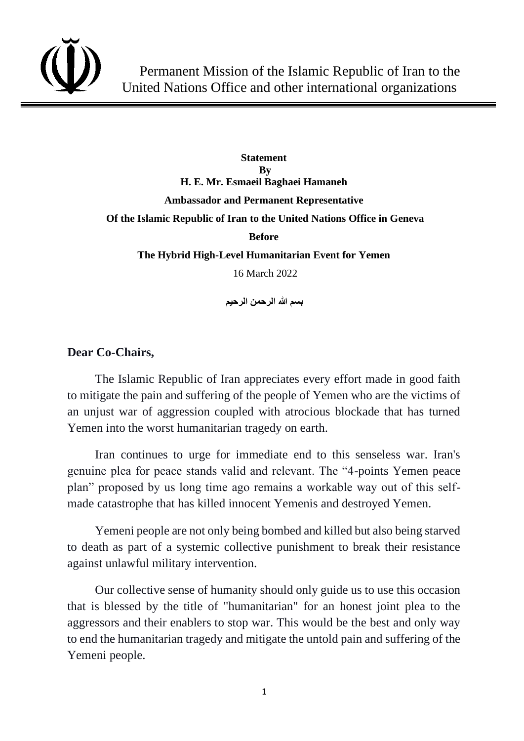

**Statement By H. E. Mr. Esmaeil Baghaei Hamaneh Ambassador and Permanent Representative Of the Islamic Republic of Iran to the United Nations Office in Geneva Before The Hybrid High-Level Humanitarian Event for Yemen** 16 March 2022

**بسم هللا الرحمن الرحيم** 

## **Dear Co-Chairs,**

The Islamic Republic of Iran appreciates every effort made in good faith to mitigate the pain and suffering of the people of Yemen who are the victims of an unjust war of aggression coupled with atrocious blockade that has turned Yemen into the worst humanitarian tragedy on earth.

Iran continues to urge for immediate end to this senseless war. Iran's genuine plea for peace stands valid and relevant. The "4-points Yemen peace plan" proposed by us long time ago remains a workable way out of this selfmade catastrophe that has killed innocent Yemenis and destroyed Yemen.

Yemeni people are not only being bombed and killed but also being starved to death as part of a systemic collective punishment to break their resistance against unlawful military intervention.

Our collective sense of humanity should only guide us to use this occasion that is blessed by the title of "humanitarian" for an honest joint plea to the aggressors and their enablers to stop war. This would be the best and only way to end the humanitarian tragedy and mitigate the untold pain and suffering of the Yemeni people.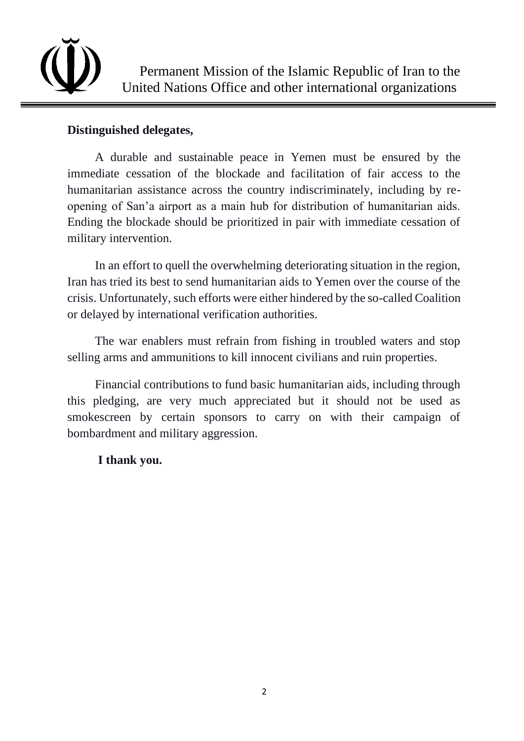

## **Distinguished delegates,**

A durable and sustainable peace in Yemen must be ensured by the immediate cessation of the blockade and facilitation of fair access to the humanitarian assistance across the country indiscriminately, including by reopening of San'a airport as a main hub for distribution of humanitarian aids. Ending the blockade should be prioritized in pair with immediate cessation of military intervention.

In an effort to quell the overwhelming deteriorating situation in the region, Iran has tried its best to send humanitarian aids to Yemen over the course of the crisis. Unfortunately, such efforts were either hindered by the so-called Coalition or delayed by international verification authorities.

The war enablers must refrain from fishing in troubled waters and stop selling arms and ammunitions to kill innocent civilians and ruin properties.

Financial contributions to fund basic humanitarian aids, including through this pledging, are very much appreciated but it should not be used as smokescreen by certain sponsors to carry on with their campaign of bombardment and military aggression.

## **I thank you.**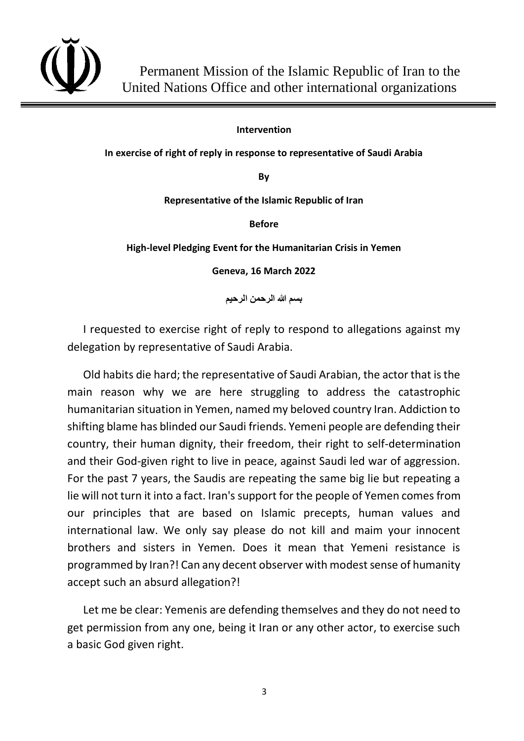

**Intervention**

**In exercise of right of reply in response to representative of Saudi Arabia** 

**By**

**Representative of the Islamic Republic of Iran**

**Before**

**High-level Pledging Event for the Humanitarian Crisis in Yemen**

**Geneva, 16 March 2022**

**بسم هللا الرحمن الرحیم** 

I requested to exercise right of reply to respond to allegations against my delegation by representative of Saudi Arabia.

Old habits die hard; the representative of Saudi Arabian, the actor that is the main reason why we are here struggling to address the catastrophic humanitarian situation in Yemen, named my beloved country Iran. Addiction to shifting blame has blinded our Saudi friends. Yemeni people are defending their country, their human dignity, their freedom, their right to self-determination and their God-given right to live in peace, against Saudi led war of aggression. For the past 7 years, the Saudis are repeating the same big lie but repeating a lie will not turn it into a fact. Iran's support for the people of Yemen comes from our principles that are based on Islamic precepts, human values and international law. We only say please do not kill and maim your innocent brothers and sisters in Yemen. Does it mean that Yemeni resistance is programmed by Iran?! Can any decent observer with modest sense of humanity accept such an absurd allegation?!

Let me be clear: Yemenis are defending themselves and they do not need to get permission from any one, being it Iran or any other actor, to exercise such a basic God given right.